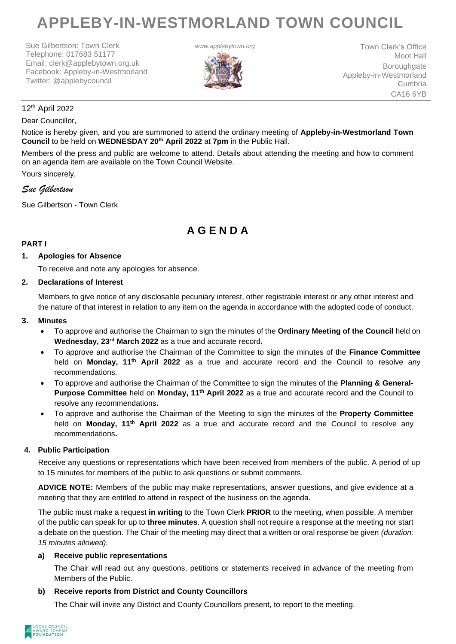# **APPLEBY-IN-WESTMORLAND TOWN COUNCIL**

Sue Gilbertson: Town Clerk Telephone: 017683 51177 Email: clerk@applebytown.org.uk Facebook: Appleby-in-Westmorland Twitter: @applebycouncil



**www.applebytown.org** Town Clerk's Office Moot Hall **Boroughgate** Appleby-in-Westmorland Cumbria CA16 6YB

# 12th April 2022

#### Dear Councillor,

Notice is hereby given, and you are summoned to attend the ordinary meeting of **Appleby-in-Westmorland Town Council** to be held on **WEDNESDAY 20th April 2022** at **7pm** in the Public Hall.

Members of the press and public are welcome to attend. Details about attending the meeting and how to comment on an agenda item are available on the Town Council Website.

Yours sincerely,

#### *Sue Gilbertson*

Sue Gilbertson - Town Clerk

# **A G E N D A**

#### **PART I**

#### **1. Apologies for Absence**

To receive and note any apologies for absence.

#### **2. Declarations of Interest**

Members to give notice of any disclosable pecuniary interest, other registrable interest or any other interest and the nature of that interest in relation to any item on the agenda in accordance with the adopted code of conduct.

#### **3. Minutes**

- To approve and authorise the Chairman to sign the minutes of the **Ordinary Meeting of the Council** held on **Wednesday, 23rd March 2022** as a true and accurate record**.**
- To approve and authorise the Chairman of the Committee to sign the minutes of the **Finance Committee** held on **Monday, 11th April 2022** as a true and accurate record and the Council to resolve any recommendations.
- To approve and authorise the Chairman of the Committee to sign the minutes of the **Planning & General-Purpose Committee** held on **Monday, 11th April 2022** as a true and accurate record and the Council to resolve any recommendations**.**
- To approve and authorise the Chairman of the Meeting to sign the minutes of the **Property Committee** held on **Monday, 11th April 2022** as a true and accurate record and the Council to resolve any recommendations**.**

#### **4. Public Participation**

Receive any questions or representations which have been received from members of the public. A period of up to 15 minutes for members of the public to ask questions or submit comments.

**ADVICE NOTE:** Members of the public may make representations, answer questions, and give evidence at a meeting that they are entitled to attend in respect of the business on the agenda.

The public must make a request **in writing** to the Town Clerk **PRIOR** to the meeting, when possible. A member of the public can speak for up to **three minutes**. A question shall not require a response at the meeting nor start a debate on the question. The Chair of the meeting may direct that a written or oral response be given *(duration: 15 minutes allowed).*

#### **a) Receive public representations**

The Chair will read out any questions, petitions or statements received in advance of the meeting from Members of the Public.

#### **b) Receive reports from District and County Councillors**

The Chair will invite any District and County Councillors present, to report to the meeting.